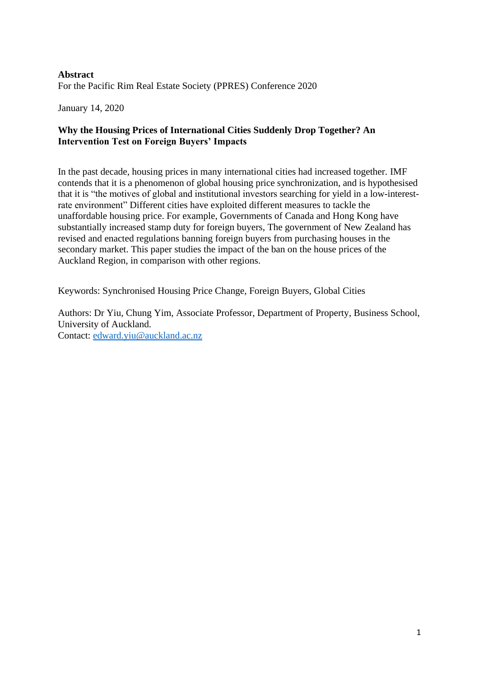# **Abstract** For the Pacific Rim Real Estate Society (PPRES) Conference 2020

January 14, 2020

## **Why the Housing Prices of International Cities Suddenly Drop Together? An Intervention Test on Foreign Buyers' Impacts**

In the past decade, housing prices in many international cities had increased together. IMF contends that it is a phenomenon of global housing price synchronization, and is hypothesised that it is "the motives of global and institutional investors searching for yield in a low-interestrate environment" Different cities have exploited different measures to tackle the unaffordable housing price. For example, Governments of Canada and Hong Kong have substantially increased stamp duty for foreign buyers, The government of New Zealand has revised and enacted regulations banning foreign buyers from purchasing houses in the secondary market. This paper studies the impact of the ban on the house prices of the Auckland Region, in comparison with other regions.

Keywords: Synchronised Housing Price Change, Foreign Buyers, Global Cities

Authors: Dr Yiu, Chung Yim, Associate Professor, Department of Property, Business School, University of Auckland. Contact: [edward.yiu@auckland.ac.nz](mailto:edward.yiu@auckland.ac.nz)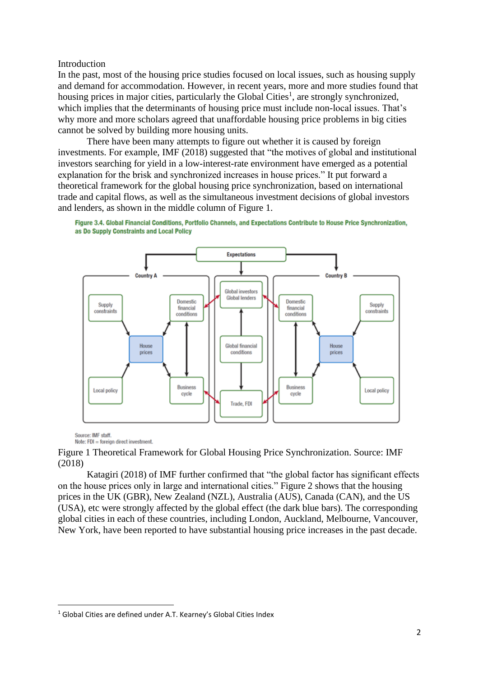### Introduction

In the past, most of the housing price studies focused on local issues, such as housing supply and demand for accommodation. However, in recent years, more and more studies found that housing prices in major cities, particularly the Global Cities<sup>1</sup>, are strongly synchronized, which implies that the determinants of housing price must include non-local issues. That's why more and more scholars agreed that unaffordable housing price problems in big cities cannot be solved by building more housing units.

There have been many attempts to figure out whether it is caused by foreign investments. For example, IMF (2018) suggested that "the motives of global and institutional investors searching for yield in a low-interest-rate environment have emerged as a potential explanation for the brisk and synchronized increases in house prices." It put forward a theoretical framework for the global housing price synchronization, based on international trade and capital flows, as well as the simultaneous investment decisions of global investors and lenders, as shown in the middle column of Figure 1.



Figure 3.4, Global Financial Conditions, Portfolio Channels, and Expectations Contribute to House Price Synchronization, as Do Supply Constraints and Local Policy

Source: IMF staff. Note: FDI = foreign direct investment.

Figure 1 Theoretical Framework for Global Housing Price Synchronization. Source: IMF (2018)

Katagiri (2018) of IMF further confirmed that "the global factor has significant effects on the house prices only in large and international cities." Figure 2 shows that the housing prices in the UK (GBR), New Zealand (NZL), Australia (AUS), Canada (CAN), and the US (USA), etc were strongly affected by the global effect (the dark blue bars). The corresponding global cities in each of these countries, including London, Auckland, Melbourne, Vancouver, New York, have been reported to have substantial housing price increases in the past decade.

<sup>&</sup>lt;sup>1</sup> Global Cities are defined under A.T. Kearney's Global Cities Index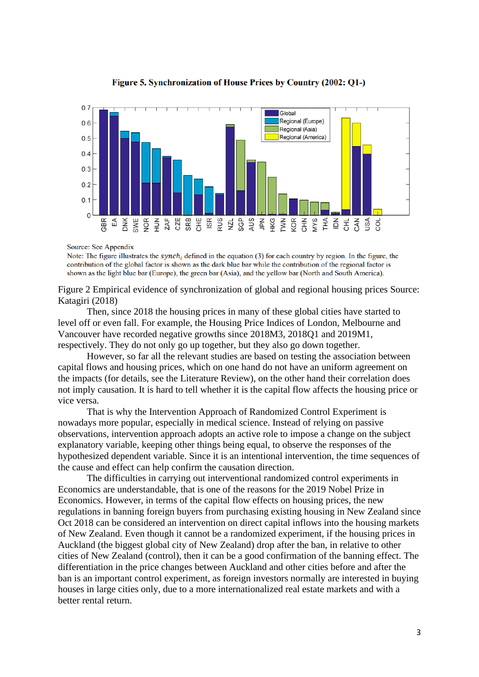

Figure 5. Synchronization of House Prices by Country (2002: Q1-)

Source: See Appendix

Note: The figure illustrates the synch<sub>i</sub> defined in the equation (3) for each country by region. In the figure, the contribution of the global factor is shown as the dark blue bar while the contribution of the regional factor is shown as the light blue bar (Europe), the green bar (Asia), and the yellow bar (North and South America).

Figure 2 Empirical evidence of synchronization of global and regional housing prices Source: Katagiri (2018)

Then, since 2018 the housing prices in many of these global cities have started to level off or even fall. For example, the Housing Price Indices of London, Melbourne and Vancouver have recorded negative growths since 2018M3, 2018Q1 and 2019M1, respectively. They do not only go up together, but they also go down together.

However, so far all the relevant studies are based on testing the association between capital flows and housing prices, which on one hand do not have an uniform agreement on the impacts (for details, see the Literature Review), on the other hand their correlation does not imply causation. It is hard to tell whether it is the capital flow affects the housing price or vice versa.

That is why the Intervention Approach of Randomized Control Experiment is nowadays more popular, especially in medical science. Instead of relying on passive observations, intervention approach adopts an active role to impose a change on the subject explanatory variable, keeping other things being equal, to observe the responses of the hypothesized dependent variable. Since it is an intentional intervention, the time sequences of the cause and effect can help confirm the causation direction.

The difficulties in carrying out interventional randomized control experiments in Economics are understandable, that is one of the reasons for the 2019 Nobel Prize in Economics. However, in terms of the capital flow effects on housing prices, the new regulations in banning foreign buyers from purchasing existing housing in New Zealand since Oct 2018 can be considered an intervention on direct capital inflows into the housing markets of New Zealand. Even though it cannot be a randomized experiment, if the housing prices in Auckland (the biggest global city of New Zealand) drop after the ban, in relative to other cities of New Zealand (control), then it can be a good confirmation of the banning effect. The differentiation in the price changes between Auckland and other cities before and after the ban is an important control experiment, as foreign investors normally are interested in buying houses in large cities only, due to a more internationalized real estate markets and with a better rental return.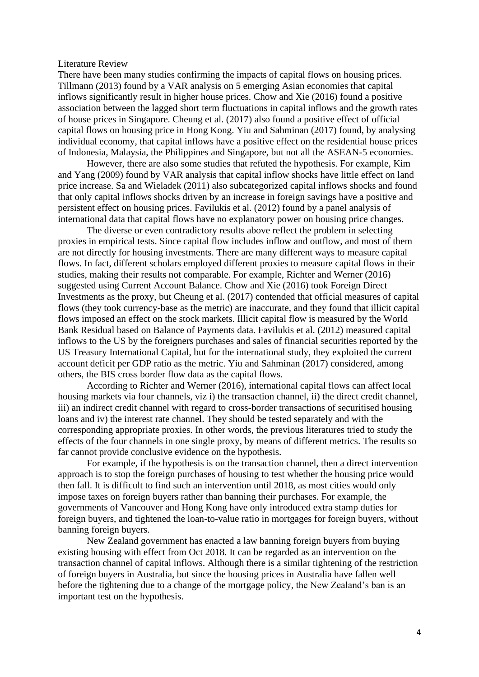#### Literature Review

There have been many studies confirming the impacts of capital flows on housing prices. Tillmann (2013) found by a VAR analysis on 5 emerging Asian economies that capital inflows significantly result in higher house prices. Chow and Xie (2016) found a positive association between the lagged short term fluctuations in capital inflows and the growth rates of house prices in Singapore. Cheung et al. (2017) also found a positive effect of official capital flows on housing price in Hong Kong. Yiu and Sahminan (2017) found, by analysing individual economy, that capital inflows have a positive effect on the residential house prices of Indonesia, Malaysia, the Philippines and Singapore, but not all the ASEAN-5 economies.

However, there are also some studies that refuted the hypothesis. For example, Kim and Yang (2009) found by VAR analysis that capital inflow shocks have little effect on land price increase. Sa and Wieladek (2011) also subcategorized capital inflows shocks and found that only capital inflows shocks driven by an increase in foreign savings have a positive and persistent effect on housing prices. Favilukis et al. (2012) found by a panel analysis of international data that capital flows have no explanatory power on housing price changes.

The diverse or even contradictory results above reflect the problem in selecting proxies in empirical tests. Since capital flow includes inflow and outflow, and most of them are not directly for housing investments. There are many different ways to measure capital flows. In fact, different scholars employed different proxies to measure capital flows in their studies, making their results not comparable. For example, Richter and Werner (2016) suggested using Current Account Balance. Chow and Xie (2016) took Foreign Direct Investments as the proxy, but Cheung et al. (2017) contended that official measures of capital flows (they took currency-base as the metric) are inaccurate, and they found that illicit capital flows imposed an effect on the stock markets. Illicit capital flow is measured by the World Bank Residual based on Balance of Payments data. Favilukis et al. (2012) measured capital inflows to the US by the foreigners purchases and sales of financial securities reported by the US Treasury International Capital, but for the international study, they exploited the current account deficit per GDP ratio as the metric. Yiu and Sahminan (2017) considered, among others, the BIS cross border flow data as the capital flows.

According to Richter and Werner (2016), international capital flows can affect local housing markets via four channels, viz i) the transaction channel, ii) the direct credit channel, iii) an indirect credit channel with regard to cross-border transactions of securitised housing loans and iv) the interest rate channel. They should be tested separately and with the corresponding appropriate proxies. In other words, the previous literatures tried to study the effects of the four channels in one single proxy, by means of different metrics. The results so far cannot provide conclusive evidence on the hypothesis.

For example, if the hypothesis is on the transaction channel, then a direct intervention approach is to stop the foreign purchases of housing to test whether the housing price would then fall. It is difficult to find such an intervention until 2018, as most cities would only impose taxes on foreign buyers rather than banning their purchases. For example, the governments of Vancouver and Hong Kong have only introduced extra stamp duties for foreign buyers, and tightened the loan-to-value ratio in mortgages for foreign buyers, without banning foreign buyers.

New Zealand government has enacted a law banning foreign buyers from buying existing housing with effect from Oct 2018. It can be regarded as an intervention on the transaction channel of capital inflows. Although there is a similar tightening of the restriction of foreign buyers in Australia, but since the housing prices in Australia have fallen well before the tightening due to a change of the mortgage policy, the New Zealand's ban is an important test on the hypothesis.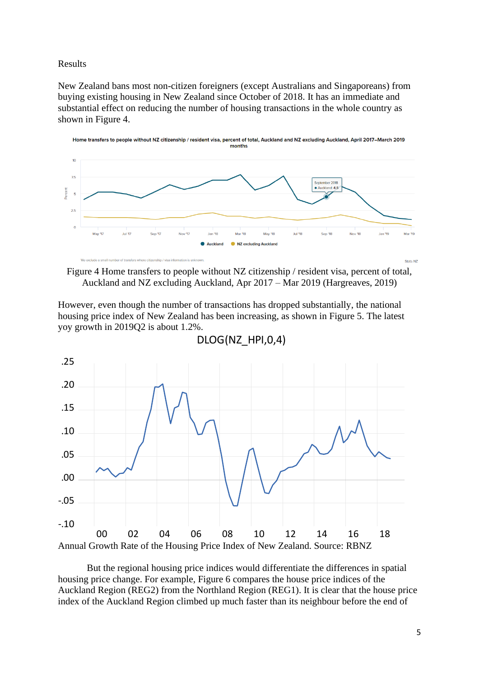### Results

New Zealand bans most non-citizen foreigners (except Australians and Singaporeans) from buying existing housing in New Zealand since October of 2018. It has an immediate and substantial effect on reducing the number of housing transactions in the whole country as shown in Figure 4.



Figure 4 Home transfers to people without NZ citizenship / resident visa, percent of total, Auckland and NZ excluding Auckland, Apr 2017 – Mar 2019 (Hargreaves, 2019)

However, even though the number of transactions has dropped substantially, the national housing price index of New Zealand has been increasing, as shown in Figure 5. The latest yoy growth in 2019Q2 is about 1.2%.



DLOG(NZ\_HPI,0,4)

But the regional housing price indices would differentiate the differences in spatial housing price change. For example, Figure 6 compares the house price indices of the Auckland Region (REG2) from the Northland Region (REG1). It is clear that the house price index of the Auckland Region climbed up much faster than its neighbour before the end of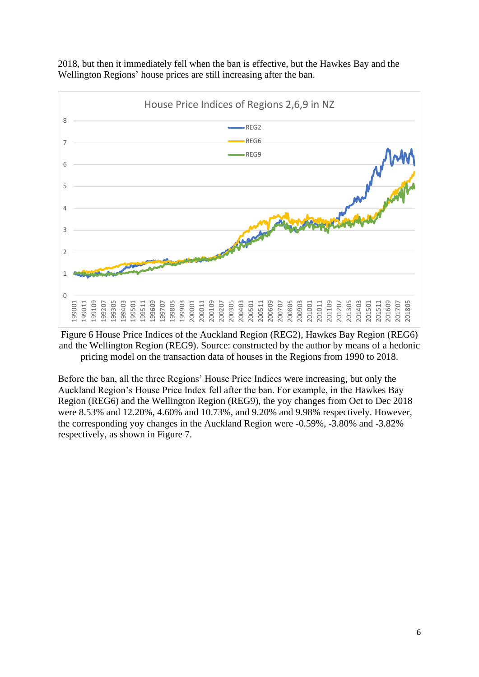

2018, but then it immediately fell when the ban is effective, but the Hawkes Bay and the Wellington Regions' house prices are still increasing after the ban.

Figure 6 House Price Indices of the Auckland Region (REG2), Hawkes Bay Region (REG6) and the Wellington Region (REG9). Source: constructed by the author by means of a hedonic pricing model on the transaction data of houses in the Regions from 1990 to 2018.

Before the ban, all the three Regions' House Price Indices were increasing, but only the Auckland Region's House Price Index fell after the ban. For example, in the Hawkes Bay Region (REG6) and the Wellington Region (REG9), the yoy changes from Oct to Dec 2018 were 8.53% and 12.20%, 4.60% and 10.73%, and 9.20% and 9.98% respectively. However, the corresponding yoy changes in the Auckland Region were -0.59%, -3.80% and -3.82% respectively, as shown in Figure 7.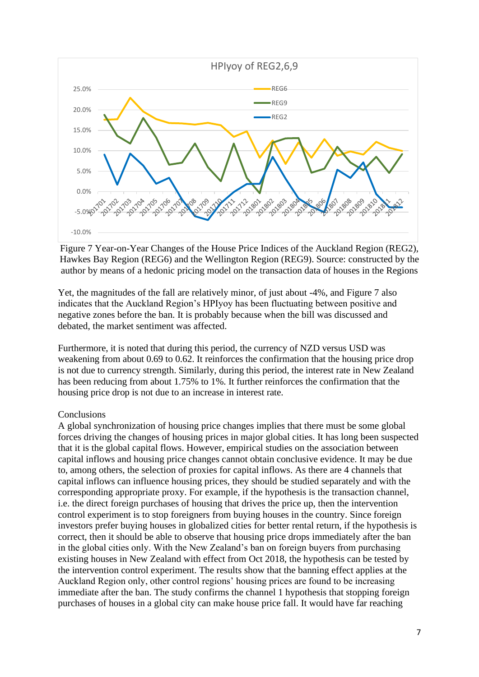

Figure 7 Year-on-Year Changes of the House Price Indices of the Auckland Region (REG2), Hawkes Bay Region (REG6) and the Wellington Region (REG9). Source: constructed by the author by means of a hedonic pricing model on the transaction data of houses in the Regions

Yet, the magnitudes of the fall are relatively minor, of just about -4%, and Figure 7 also indicates that the Auckland Region's HPIyoy has been fluctuating between positive and negative zones before the ban. It is probably because when the bill was discussed and debated, the market sentiment was affected.

Furthermore, it is noted that during this period, the currency of NZD versus USD was weakening from about 0.69 to 0.62. It reinforces the confirmation that the housing price drop is not due to currency strength. Similarly, during this period, the interest rate in New Zealand has been reducing from about 1.75% to 1%. It further reinforces the confirmation that the housing price drop is not due to an increase in interest rate.

## **Conclusions**

A global synchronization of housing price changes implies that there must be some global forces driving the changes of housing prices in major global cities. It has long been suspected that it is the global capital flows. However, empirical studies on the association between capital inflows and housing price changes cannot obtain conclusive evidence. It may be due to, among others, the selection of proxies for capital inflows. As there are 4 channels that capital inflows can influence housing prices, they should be studied separately and with the corresponding appropriate proxy. For example, if the hypothesis is the transaction channel, i.e. the direct foreign purchases of housing that drives the price up, then the intervention control experiment is to stop foreigners from buying houses in the country. Since foreign investors prefer buying houses in globalized cities for better rental return, if the hypothesis is correct, then it should be able to observe that housing price drops immediately after the ban in the global cities only. With the New Zealand's ban on foreign buyers from purchasing existing houses in New Zealand with effect from Oct 2018, the hypothesis can be tested by the intervention control experiment. The results show that the banning effect applies at the Auckland Region only, other control regions' housing prices are found to be increasing immediate after the ban. The study confirms the channel 1 hypothesis that stopping foreign purchases of houses in a global city can make house price fall. It would have far reaching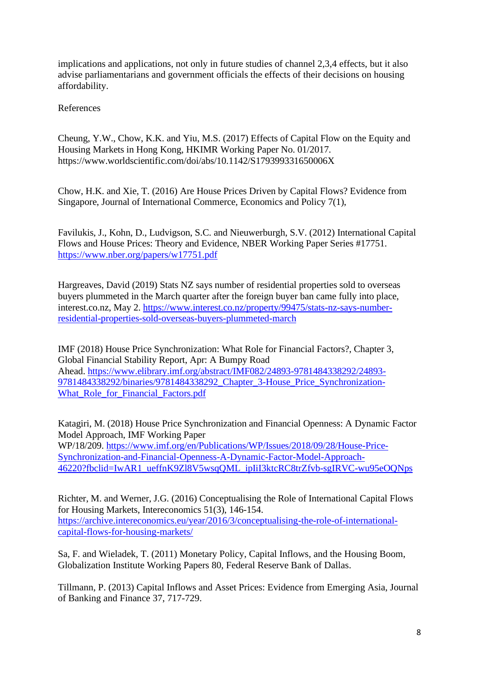implications and applications, not only in future studies of channel 2,3,4 effects, but it also advise parliamentarians and government officials the effects of their decisions on housing affordability.

References

Cheung, Y.W., Chow, K.K. and Yiu, M.S. (2017) Effects of Capital Flow on the Equity and Housing Markets in Hong Kong, HKIMR Working Paper No. 01/2017. https://www.worldscientific.com/doi/abs/10.1142/S179399331650006X

Chow, H.K. and Xie, T. (2016) Are House Prices Driven by Capital Flows? Evidence from Singapore, Journal of International Commerce, Economics and Policy 7(1),

Favilukis, J., Kohn, D., Ludvigson, S.C. and Nieuwerburgh, S.V. (2012) International Capital Flows and House Prices: Theory and Evidence, NBER Working Paper Series #17751. <https://www.nber.org/papers/w17751.pdf>

Hargreaves, David (2019) Stats NZ says number of residential properties sold to overseas buyers plummeted in the March quarter after the foreign buyer ban came fully into place, interest.co.nz, May 2. [https://www.interest.co.nz/property/99475/stats-nz-says-number](https://www.interest.co.nz/property/99475/stats-nz-says-number-residential-properties-sold-overseas-buyers-plummeted-march)[residential-properties-sold-overseas-buyers-plummeted-march](https://www.interest.co.nz/property/99475/stats-nz-says-number-residential-properties-sold-overseas-buyers-plummeted-march)

IMF (2018) House Price Synchronization: What Role for Financial Factors?, Chapter 3, Global Financial Stability Report, Apr: A Bumpy Road Ahead. [https://www.elibrary.imf.org/abstract/IMF082/24893-9781484338292/24893-](https://www.elibrary.imf.org/abstract/IMF082/24893-9781484338292/24893-9781484338292/binaries/9781484338292_Chapter_3-House_Price_Synchronization-What_Role_for_Financial_Factors.pdf) [9781484338292/binaries/9781484338292\\_Chapter\\_3-House\\_Price\\_Synchronization-](https://www.elibrary.imf.org/abstract/IMF082/24893-9781484338292/24893-9781484338292/binaries/9781484338292_Chapter_3-House_Price_Synchronization-What_Role_for_Financial_Factors.pdf)What Role for Financial Factors.pdf

Katagiri, M. (2018) House Price Synchronization and Financial Openness: A Dynamic Factor Model Approach, IMF Working Paper WP/18/209. [https://www.imf.org/en/Publications/WP/Issues/2018/09/28/House-Price-](https://www.imf.org/en/Publications/WP/Issues/2018/09/28/House-Price-Synchronization-and-Financial-Openness-A-Dynamic-Factor-Model-Approach-46220?fbclid=IwAR1_ueffnK9Zl8V5wsqQML_ipIiI3ktcRC8trZfvb-sgIRVC-wu95eOQNps)[Synchronization-and-Financial-Openness-A-Dynamic-Factor-Model-Approach-](https://www.imf.org/en/Publications/WP/Issues/2018/09/28/House-Price-Synchronization-and-Financial-Openness-A-Dynamic-Factor-Model-Approach-46220?fbclid=IwAR1_ueffnK9Zl8V5wsqQML_ipIiI3ktcRC8trZfvb-sgIRVC-wu95eOQNps)[46220?fbclid=IwAR1\\_ueffnK9Zl8V5wsqQML\\_ipIiI3ktcRC8trZfvb-sgIRVC-wu95eOQNps](https://www.imf.org/en/Publications/WP/Issues/2018/09/28/House-Price-Synchronization-and-Financial-Openness-A-Dynamic-Factor-Model-Approach-46220?fbclid=IwAR1_ueffnK9Zl8V5wsqQML_ipIiI3ktcRC8trZfvb-sgIRVC-wu95eOQNps)

Richter, M. and Werner, J.G. (2016) Conceptualising the Role of International Capital Flows for Housing Markets, Intereconomics 51(3), 146-154. [https://archive.intereconomics.eu/year/2016/3/conceptualising-the-role-of-international](https://archive.intereconomics.eu/year/2016/3/conceptualising-the-role-of-international-capital-flows-for-housing-markets/)[capital-flows-for-housing-markets/](https://archive.intereconomics.eu/year/2016/3/conceptualising-the-role-of-international-capital-flows-for-housing-markets/)

Sa, F. and Wieladek, T. (2011) Monetary Policy, Capital Inflows, and the Housing Boom, Globalization Institute Working Papers 80, Federal Reserve Bank of Dallas.

Tillmann, P. (2013) Capital Inflows and Asset Prices: Evidence from Emerging Asia, Journal of Banking and Finance 37, 717-729.